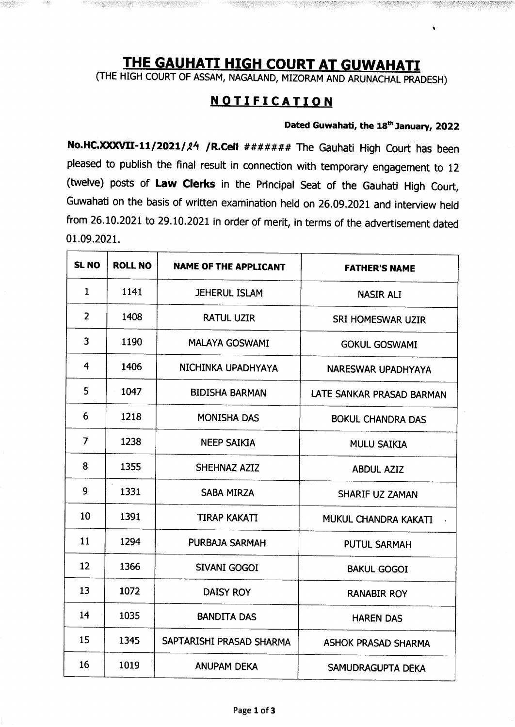## THE GAUHATI HIGH COURT AT GUWAHATI

(THE HIGH COURT OF ASSAM, NAGALAND, MIZORAM AND ARUNACHAL PRADESH)

## **NOTIFICATION**

## Dated Guwahati, the 18<sup>th</sup> January, 2022

No.HC.XXXVII-11/2021/24 /R.Cell ####### The Gauhati High Court has been pleased to publish the final result in connection with temporary engagement to 12 (twelve) posts of Law Clerks in the Principal Seat of the Gauhati High Court, Guwahati on the basis of written examination held on 26.09.2021 and interview held from 26.10.2021 to 29.10.2021 in order of merit, in terms of the advertisement dated 01.09.2021.

| SL <sub>NO</sub> | <b>ROLL NO</b> | <b>NAME OF THE APPLICANT</b> | <b>FATHER'S NAME</b>       |
|------------------|----------------|------------------------------|----------------------------|
| $\mathbf{1}$     | 1141           | <b>JEHERUL ISLAM</b>         | <b>NASIR ALI</b>           |
| $\overline{2}$   | 1408           | <b>RATUL UZIR</b>            | <b>SRI HOMESWAR UZIR</b>   |
| 3                | 1190           | <b>MALAYA GOSWAMI</b>        | <b>GOKUL GOSWAMI</b>       |
| 4                | 1406           | NICHINKA UPADHYAYA           | <b>NARESWAR UPADHYAYA</b>  |
| 5                | 1047           | <b>BIDISHA BARMAN</b>        | LATE SANKAR PRASAD BARMAN  |
| 6                | 1218           | <b>MONISHA DAS</b>           | <b>BOKUL CHANDRA DAS</b>   |
| $\overline{7}$   | 1238           | <b>NEEP SAIKIA</b>           | <b>MULU SAIKIA</b>         |
| 8                | 1355           | SHEHNAZ AZIZ                 | <b>ABDUL AZIZ</b>          |
| 9                | 1331           | <b>SABA MIRZA</b>            | <b>SHARIF UZ ZAMAN</b>     |
| 10               | 1391           | <b>TIRAP KAKATI</b>          | MUKUL CHANDRA KAKATI       |
| 11               | 1294           | PURBAJA SARMAH               | <b>PUTUL SARMAH</b>        |
| 12               | 1366           | <b>SIVANI GOGOI</b>          | <b>BAKUL GOGOI</b>         |
| 13               | 1072           | <b>DAISY ROY</b>             | <b>RANABIR ROY</b>         |
| 14               | 1035           | <b>BANDITA DAS</b>           | <b>HAREN DAS</b>           |
| 15               | 1345           | SAPTARISHI PRASAD SHARMA     | <b>ASHOK PRASAD SHARMA</b> |
| 16               | 1019           | <b>ANUPAM DEKA</b>           | SAMUDRAGUPTA DEKA          |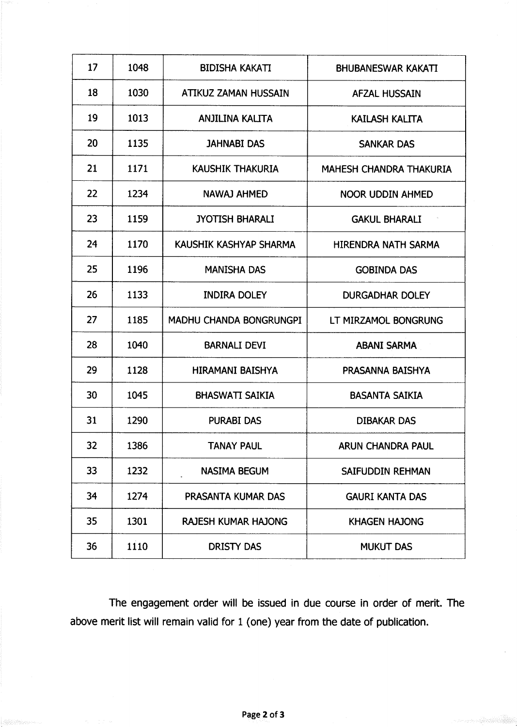| 17 | 1048 | <b>BIDISHA KAKATI</b>          | <b>BHUBANESWAR KAKATI</b>      |
|----|------|--------------------------------|--------------------------------|
| 18 | 1030 | ATIKUZ ZAMAN HUSSAIN           | <b>AFZAL HUSSAIN</b>           |
| 19 | 1013 | <b>ANJILINA KALITA</b>         | <b>KAILASH KALITA</b>          |
| 20 | 1135 | <b>JAHNABI DAS</b>             | <b>SANKAR DAS</b>              |
| 21 | 1171 | <b>KAUSHIK THAKURIA</b>        | <b>MAHESH CHANDRA THAKURIA</b> |
| 22 | 1234 | <b>NAWAJ AHMED</b>             | <b>NOOR UDDIN AHMED</b>        |
| 23 | 1159 | <b>JYOTISH BHARALI</b>         | <b>GAKUL BHARALI</b>           |
| 24 | 1170 | KAUSHIK KASHYAP SHARMA         | HIRENDRA NATH SARMA            |
| 25 | 1196 | <b>MANISHA DAS</b>             | <b>GOBINDA DAS</b>             |
| 26 | 1133 | <b>INDIRA DOLEY</b>            | <b>DURGADHAR DOLEY</b>         |
| 27 | 1185 | <b>MADHU CHANDA BONGRUNGPI</b> | LT MIRZAMOL BONGRUNG           |
| 28 | 1040 | <b>BARNALI DEVI</b>            | <b>ABANI SARMA</b>             |
| 29 | 1128 | <b>HIRAMANI BAISHYA</b>        | PRASANNA BAISHYA               |
| 30 | 1045 | <b>BHASWATT SAIKIA</b>         | <b>BASANTA SAIKIA</b>          |
| 31 | 1290 | <b>PURABI DAS</b>              | <b>DIBAKAR DAS</b>             |
| 32 | 1386 | <b>TANAY PAUL</b>              | <b>ARUN CHANDRA PAUL</b>       |
| 33 | 1232 | <b>NASIMA BEGUM</b>            | SAIFUDDIN REHMAN               |
| 34 | 1274 | PRASANTA KUMAR DAS             | <b>GAURI KANTA DAS</b>         |
| 35 | 1301 | <b>RAJESH KUMAR HAJONG</b>     | <b>KHAGEN HAJONG</b>           |
| 36 | 1110 | <b>DRISTY DAS</b>              | <b>MUKUT DAS</b>               |

The engagement order will be issued in due course in order of merit. The above merit list will remain valid for 1 (one) year from the date of publication.